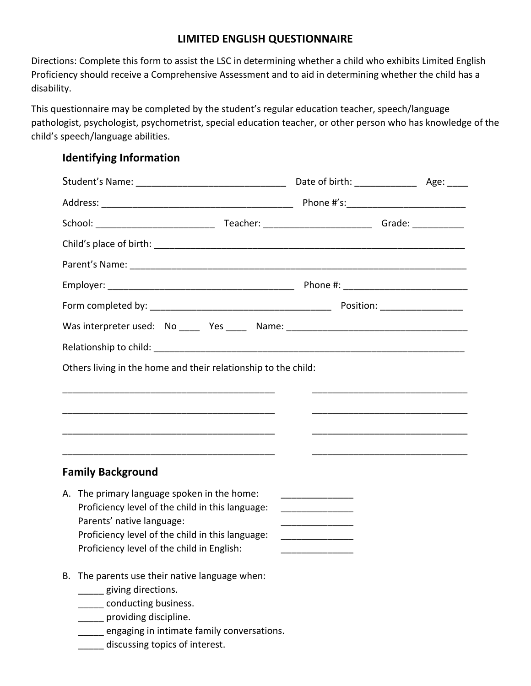## **LIMITED ENGLISH QUESTIONNAIRE**

Directions: Complete this form to assist the LSC in determining whether a child who exhibits Limited English Proficiency should receive a Comprehensive Assessment and to aid in determining whether the child has a disability.

This questionnaire may be completed by the student's regular education teacher, speech/language pathologist, psychologist, psychometrist, special education teacher, or other person who has knowledge of the child's speech/language abilities.

#### **Identifying Information**

| Was interpreter used: No _____ Yes _____ Name: _________________________________ |  |  |  |
|----------------------------------------------------------------------------------|--|--|--|
|                                                                                  |  |  |  |
| Others living in the home and their relationship to the child:                   |  |  |  |
|                                                                                  |  |  |  |
|                                                                                  |  |  |  |
|                                                                                  |  |  |  |
|                                                                                  |  |  |  |
| <b>Family Background</b>                                                         |  |  |  |
| A. The primary language spoken in the home:                                      |  |  |  |
| Proficiency level of the child in this language:<br>Parents' native language:    |  |  |  |
| Proficiency level of the child in this language:                                 |  |  |  |
| Proficiency level of the child in English:                                       |  |  |  |
| B. The parents use their native language when:                                   |  |  |  |
| ___ giving directions.<br>___ conducting business.                               |  |  |  |
| __ providing discipline.                                                         |  |  |  |
| engaging in intimate family conversations.<br>discussing topics of interest.     |  |  |  |
|                                                                                  |  |  |  |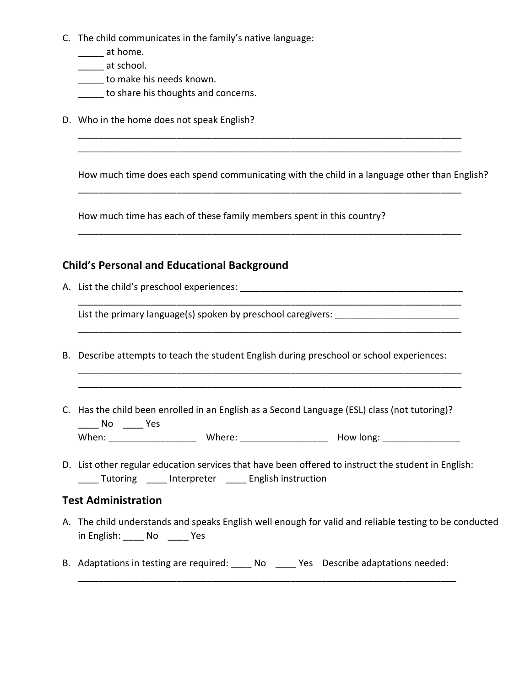- C. The child communicates in the family's native language:
	- \_\_\_\_\_\_ at home.
	- \_\_\_\_\_ at school.
	- \_\_\_\_\_ to make his needs known.
	- **\_\_\_\_\_** to share his thoughts and concerns.
- D. Who in the home does not speak English?

How much time does each spend communicating with the child in a language other than English?

\_\_\_\_\_\_\_\_\_\_\_\_\_\_\_\_\_\_\_\_\_\_\_\_\_\_\_\_\_\_\_\_\_\_\_\_\_\_\_\_\_\_\_\_\_\_\_\_\_\_\_\_\_\_\_\_\_\_\_\_\_\_\_\_\_\_\_\_\_\_\_\_\_\_

\_\_\_\_\_\_\_\_\_\_\_\_\_\_\_\_\_\_\_\_\_\_\_\_\_\_\_\_\_\_\_\_\_\_\_\_\_\_\_\_\_\_\_\_\_\_\_\_\_\_\_\_\_\_\_\_\_\_\_\_\_\_\_\_\_\_\_\_\_\_\_\_\_\_

\_\_\_\_\_\_\_\_\_\_\_\_\_\_\_\_\_\_\_\_\_\_\_\_\_\_\_\_\_\_\_\_\_\_\_\_\_\_\_\_\_\_\_\_\_\_\_\_\_\_\_\_\_\_\_\_\_\_\_\_\_\_\_\_\_\_\_\_\_\_\_\_\_\_

\_\_\_\_\_\_\_\_\_\_\_\_\_\_\_\_\_\_\_\_\_\_\_\_\_\_\_\_\_\_\_\_\_\_\_\_\_\_\_\_\_\_\_\_\_\_\_\_\_\_\_\_\_\_\_\_\_\_\_\_\_\_\_\_\_\_\_\_\_\_\_\_\_\_

How much time has each of these family members spent in this country?

## **Child's Personal and Educational Background**

A. List the child's preschool experiences: \_\_\_\_\_\_\_\_\_\_\_\_\_\_\_\_\_\_\_\_\_\_\_\_\_\_\_\_\_\_\_\_\_\_\_\_\_\_\_\_\_\_\_

List the primary language(s) spoken by preschool caregivers: \_\_\_\_\_\_\_\_\_\_\_\_\_\_\_\_\_\_\_\_

- B. Describe attempts to teach the student English during preschool or school experiences:
- C. Has the child been enrolled in an English as a Second Language (ESL) class (not tutoring)? \_\_\_\_ No \_\_\_\_ Yes When: \_\_\_\_\_\_\_\_\_\_\_\_\_\_\_\_\_ Where: \_\_\_\_\_\_\_\_\_\_\_\_\_\_\_\_\_ How long: \_\_\_\_\_\_\_\_\_\_\_\_\_\_\_
- D. List other regular education services that have been offered to instruct the student in English: \_\_\_\_ Tutoring \_\_\_\_ Interpreter \_\_\_\_ English instruction

#### **Test Administration**

- A. The child understands and speaks English well enough for valid and reliable testing to be conducted in English: \_\_\_\_\_ No \_\_\_\_\_ Yes
- B. Adaptations in testing are required: <br>No Tes Describe adaptations needed: